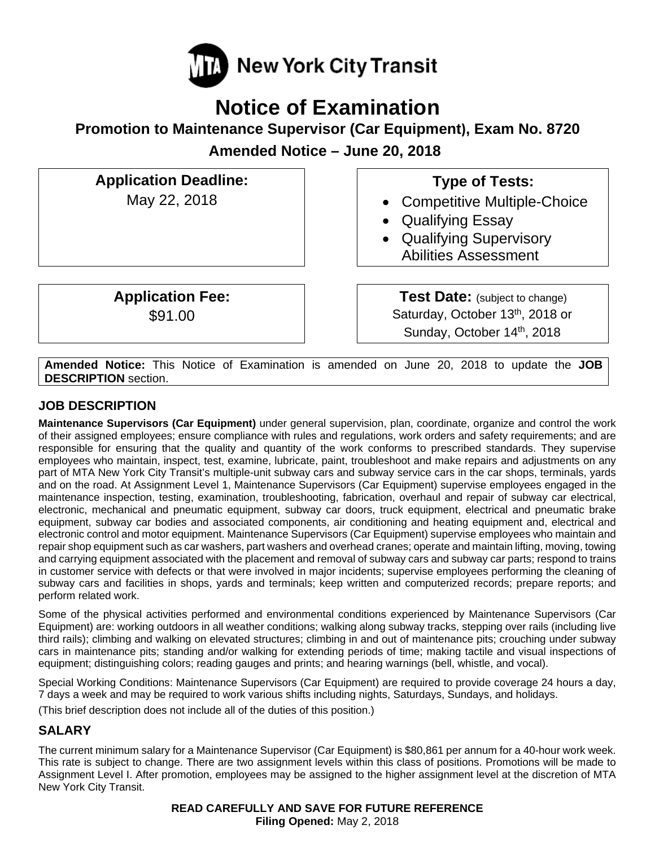

# **Notice of Examination**

**Promotion to Maintenance Supervisor (Car Equipment), Exam No. 8720** 

**Amended Notice – June 20, 2018** 

**Application Deadline:**  May 22, 2018

> **Application Fee:**  \$91.00

## **Type of Tests:**

- Competitive Multiple-Choice
- Qualifying Essay
- Qualifying Supervisory Abilities Assessment

**Test Date:** (subject to change) Saturday, October 13<sup>th</sup>, 2018 or Sunday, October 14th, 2018

**Amended Notice:** This Notice of Examination is amended on June 20, 2018 to update the **JOB DESCRIPTION** section.

## **JOB DESCRIPTION**

**Maintenance Supervisors (Car Equipment)** under general supervision, plan, coordinate, organize and control the work of their assigned employees; ensure compliance with rules and regulations, work orders and safety requirements; and are responsible for ensuring that the quality and quantity of the work conforms to prescribed standards. They supervise employees who maintain, inspect, test, examine, lubricate, paint, troubleshoot and make repairs and adjustments on any part of MTA New York City Transit's multiple-unit subway cars and subway service cars in the car shops, terminals, yards and on the road. At Assignment Level 1, Maintenance Supervisors (Car Equipment) supervise employees engaged in the maintenance inspection, testing, examination, troubleshooting, fabrication, overhaul and repair of subway car electrical, electronic, mechanical and pneumatic equipment, subway car doors, truck equipment, electrical and pneumatic brake equipment, subway car bodies and associated components, air conditioning and heating equipment and, electrical and electronic control and motor equipment. Maintenance Supervisors (Car Equipment) supervise employees who maintain and repair shop equipment such as car washers, part washers and overhead cranes; operate and maintain lifting, moving, towing and carrying equipment associated with the placement and removal of subway cars and subway car parts; respond to trains in customer service with defects or that were involved in major incidents; supervise employees performing the cleaning of subway cars and facilities in shops, yards and terminals; keep written and computerized records; prepare reports; and perform related work.

Some of the physical activities performed and environmental conditions experienced by Maintenance Supervisors (Car Equipment) are: working outdoors in all weather conditions; walking along subway tracks, stepping over rails (including live third rails); climbing and walking on elevated structures; climbing in and out of maintenance pits; crouching under subway cars in maintenance pits; standing and/or walking for extending periods of time; making tactile and visual inspections of equipment; distinguishing colors; reading gauges and prints; and hearing warnings (bell, whistle, and vocal).

Special Working Conditions: Maintenance Supervisors (Car Equipment) are required to provide coverage 24 hours a day, 7 days a week and may be required to work various shifts including nights, Saturdays, Sundays, and holidays.

(This brief description does not include all of the duties of this position.)

## **SALARY**

The current minimum salary for a Maintenance Supervisor (Car Equipment) is \$80,861 per annum for a 40-hour work week. This rate is subject to change. There are two assignment levels within this class of positions. Promotions will be made to Assignment Level I. After promotion, employees may be assigned to the higher assignment level at the discretion of MTA New York City Transit.

> **READ CAREFULLY AND SAVE FOR FUTURE REFERENCE Filing Opened:** May 2, 2018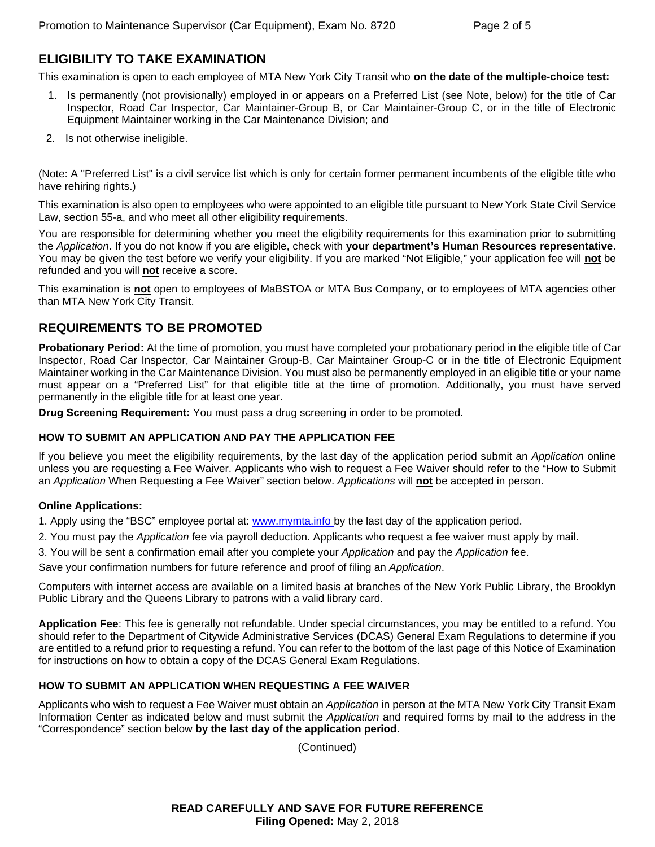## **ELIGIBILITY TO TAKE EXAMINATION**

This examination is open to each employee of MTA New York City Transit who **on the date of the multiple-choice test:** 

- 1. Is permanently (not provisionally) employed in or appears on a Preferred List (see Note, below) for the title of Car Inspector, Road Car Inspector, Car Maintainer-Group B, or Car Maintainer-Group C, or in the title of Electronic Equipment Maintainer working in the Car Maintenance Division; and
- 2. Is not otherwise ineligible.

(Note: A "Preferred List" is a civil service list which is only for certain former permanent incumbents of the eligible title who have rehiring rights.)

This examination is also open to employees who were appointed to an eligible title pursuant to New York State Civil Service Law, section 55-a, and who meet all other eligibility requirements.

You are responsible for determining whether you meet the eligibility requirements for this examination prior to submitting the *Application*. If you do not know if you are eligible, check with **your department's Human Resources representative**. You may be given the test before we verify your eligibility. If you are marked "Not Eligible," your application fee will **not** be refunded and you will **not** receive a score.

This examination is **not** open to employees of MaBSTOA or MTA Bus Company, or to employees of MTA agencies other than MTA New York City Transit.

## **REQUIREMENTS TO BE PROMOTED**

**Probationary Period:** At the time of promotion, you must have completed your probationary period in the eligible title of Car Inspector, Road Car Inspector, Car Maintainer Group-B, Car Maintainer Group-C or in the title of Electronic Equipment Maintainer working in the Car Maintenance Division. You must also be permanently employed in an eligible title or your name must appear on a "Preferred List" for that eligible title at the time of promotion. Additionally, you must have served permanently in the eligible title for at least one year.

**Drug Screening Requirement:** You must pass a drug screening in order to be promoted.

#### **HOW TO SUBMIT AN APPLICATION AND PAY THE APPLICATION FEE**

If you believe you meet the eligibility requirements, by the last day of the application period submit an *Application* online unless you are requesting a Fee Waiver. Applicants who wish to request a Fee Waiver should refer to the "How to Submit an *Application* When Requesting a Fee Waiver" section below. *Applications* will **not** be accepted in person.

#### **Online Applications:**

1. Apply using the "BSC" employee portal at: www.mymta.info by the last day of the application period.

- 2. You must pay the *Application* fee via payroll deduction. Applicants who request a fee waiver must apply by mail.
- 3. You will be sent a confirmation email after you complete your *Application* and pay the *Application* fee.

Save your confirmation numbers for future reference and proof of filing an *Application*.

Computers with internet access are available on a limited basis at branches of the New York Public Library, the Brooklyn Public Library and the Queens Library to patrons with a valid library card.

**Application Fee**: This fee is generally not refundable. Under special circumstances, you may be entitled to a refund. You should refer to the Department of Citywide Administrative Services (DCAS) General Exam Regulations to determine if you are entitled to a refund prior to requesting a refund. You can refer to the bottom of the last page of this Notice of Examination for instructions on how to obtain a copy of the DCAS General Exam Regulations.

#### **HOW TO SUBMIT AN APPLICATION WHEN REQUESTING A FEE WAIVER**

Applicants who wish to request a Fee Waiver must obtain an *Application* in person at the MTA New York City Transit Exam Information Center as indicated below and must submit the *Application* and required forms by mail to the address in the "Correspondence" section below **by the last day of the application period.**

(Continued)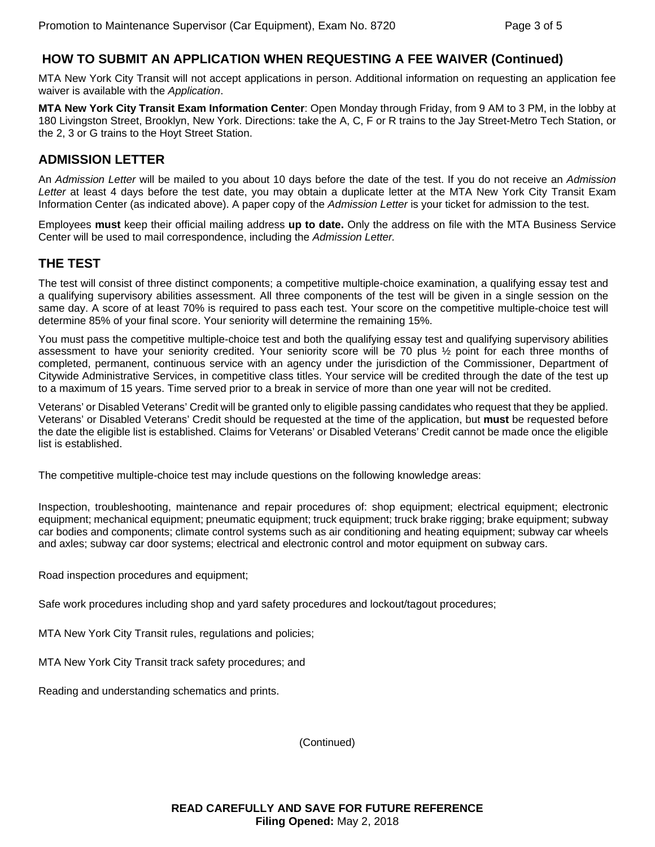## **HOW TO SUBMIT AN APPLICATION WHEN REQUESTING A FEE WAIVER (Continued)**

MTA New York City Transit will not accept applications in person. Additional information on requesting an application fee waiver is available with the *Application*.

**MTA New York City Transit Exam Information Center**: Open Monday through Friday, from 9 AM to 3 PM, in the lobby at 180 Livingston Street, Brooklyn, New York. Directions: take the A, C, F or R trains to the Jay Street-Metro Tech Station, or the 2, 3 or G trains to the Hoyt Street Station.

## **ADMISSION LETTER**

An *Admission Letter* will be mailed to you about 10 days before the date of the test. If you do not receive an *Admission Letter* at least 4 days before the test date, you may obtain a duplicate letter at the MTA New York City Transit Exam Information Center (as indicated above). A paper copy of the *Admission Letter* is your ticket for admission to the test.

Employees **must** keep their official mailing address **up to date.** Only the address on file with the MTA Business Service Center will be used to mail correspondence, including the *Admission Letter.* 

## **THE TEST**

The test will consist of three distinct components; a competitive multiple-choice examination, a qualifying essay test and a qualifying supervisory abilities assessment. All three components of the test will be given in a single session on the same day. A score of at least 70% is required to pass each test. Your score on the competitive multiple-choice test will determine 85% of your final score. Your seniority will determine the remaining 15%.

You must pass the competitive multiple-choice test and both the qualifying essay test and qualifying supervisory abilities assessment to have your seniority credited. Your seniority score will be 70 plus ½ point for each three months of completed, permanent, continuous service with an agency under the jurisdiction of the Commissioner, Department of Citywide Administrative Services, in competitive class titles. Your service will be credited through the date of the test up to a maximum of 15 years. Time served prior to a break in service of more than one year will not be credited.

Veterans' or Disabled Veterans' Credit will be granted only to eligible passing candidates who request that they be applied. Veterans' or Disabled Veterans' Credit should be requested at the time of the application, but **must** be requested before the date the eligible list is established. Claims for Veterans' or Disabled Veterans' Credit cannot be made once the eligible list is established.

The competitive multiple-choice test may include questions on the following knowledge areas:

Inspection, troubleshooting, maintenance and repair procedures of: shop equipment; electrical equipment; electronic equipment; mechanical equipment; pneumatic equipment; truck equipment; truck brake rigging; brake equipment; subway car bodies and components; climate control systems such as air conditioning and heating equipment; subway car wheels and axles; subway car door systems; electrical and electronic control and motor equipment on subway cars.

Road inspection procedures and equipment;

Safe work procedures including shop and yard safety procedures and lockout/tagout procedures;

MTA New York City Transit rules, regulations and policies;

MTA New York City Transit track safety procedures; and

Reading and understanding schematics and prints.

(Continued)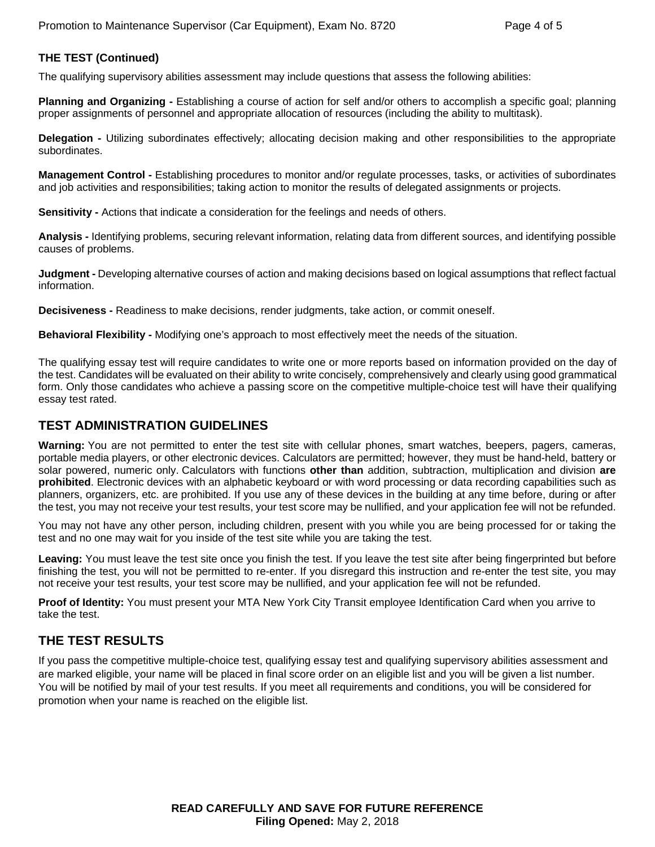#### **THE TEST (Continued)**

The qualifying supervisory abilities assessment may include questions that assess the following abilities:

**Planning and Organizing -** Establishing a course of action for self and/or others to accomplish a specific goal; planning proper assignments of personnel and appropriate allocation of resources (including the ability to multitask).

**Delegation -** Utilizing subordinates effectively; allocating decision making and other responsibilities to the appropriate subordinates.

**Management Control -** Establishing procedures to monitor and/or regulate processes, tasks, or activities of subordinates and job activities and responsibilities; taking action to monitor the results of delegated assignments or projects.

**Sensitivity -** Actions that indicate a consideration for the feelings and needs of others.

**Analysis -** Identifying problems, securing relevant information, relating data from different sources, and identifying possible causes of problems.

**Judgment -** Developing alternative courses of action and making decisions based on logical assumptions that reflect factual information.

**Decisiveness -** Readiness to make decisions, render judgments, take action, or commit oneself.

**Behavioral Flexibility -** Modifying one's approach to most effectively meet the needs of the situation.

The qualifying essay test will require candidates to write one or more reports based on information provided on the day of the test. Candidates will be evaluated on their ability to write concisely, comprehensively and clearly using good grammatical form. Only those candidates who achieve a passing score on the competitive multiple-choice test will have their qualifying essay test rated.

## **TEST ADMINISTRATION GUIDELINES**

**Warning:** You are not permitted to enter the test site with cellular phones, smart watches, beepers, pagers, cameras, portable media players, or other electronic devices. Calculators are permitted; however, they must be hand-held, battery or solar powered, numeric only. Calculators with functions **other than** addition, subtraction, multiplication and division **are prohibited**. Electronic devices with an alphabetic keyboard or with word processing or data recording capabilities such as planners, organizers, etc. are prohibited. If you use any of these devices in the building at any time before, during or after the test, you may not receive your test results, your test score may be nullified, and your application fee will not be refunded.

You may not have any other person, including children, present with you while you are being processed for or taking the test and no one may wait for you inside of the test site while you are taking the test.

**Leaving:** You must leave the test site once you finish the test. If you leave the test site after being fingerprinted but before finishing the test, you will not be permitted to re-enter. If you disregard this instruction and re-enter the test site, you may not receive your test results, your test score may be nullified, and your application fee will not be refunded.

**Proof of Identity:** You must present your MTA New York City Transit employee Identification Card when you arrive to take the test.

## **THE TEST RESULTS**

If you pass the competitive multiple-choice test, qualifying essay test and qualifying supervisory abilities assessment and are marked eligible, your name will be placed in final score order on an eligible list and you will be given a list number. You will be notified by mail of your test results. If you meet all requirements and conditions, you will be considered for promotion when your name is reached on the eligible list.